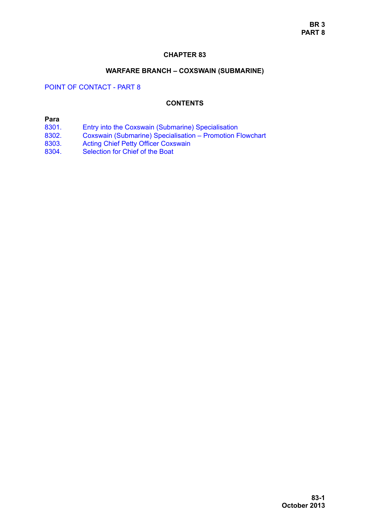## **CHAPTER 83**

### **WARFARE BRANCH – COXSWAIN (SUBMARINE)**

# POINT OF CONTACT - PART 8

### **CONTENTS**

## **Para**

- [8301. Entry into the Coxswain \(Submarine\) Specialisation](#page-1-0)<br>8302. Coxswain (Submarine) Specialisation Promotion F
- [8302. Coxswain \(Submarine\) Specialisation Promotion Flowchart](#page-5-0)
- [8303. Acting Chief Petty Officer Coxswain](#page-5-1)
- [8304. Selection for Chief of the Boat](#page-5-2)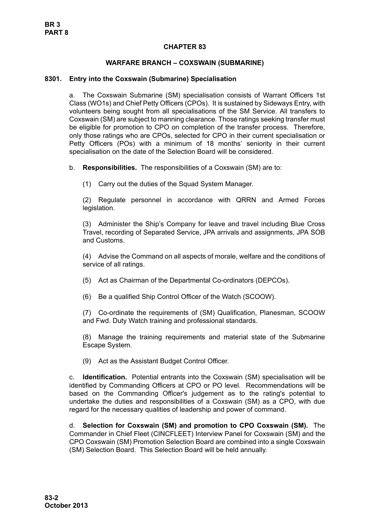## **CHAPTER 83**

## **WARFARE BRANCH – COXSWAIN (SUBMARINE)**

#### <span id="page-1-0"></span>**8301. Entry into the Coxswain (Submarine) Specialisation**

a. The Coxswain Submarine (SM) specialisation consists of Warrant Officers 1st Class (WO1s) and Chief Petty Officers (CPOs). It is sustained by Sideways Entry, with volunteers being sought from all specialisations of the SM Service. All transfers to Coxswain (SM) are subject to manning clearance. Those ratings seeking transfer must be eligible for promotion to CPO on completion of the transfer process. Therefore, only those ratings who are CPOs, selected for CPO in their current specialisation or Petty Officers (POs) with a minimum of 18 months' seniority in their current specialisation on the date of the Selection Board will be considered.

b. **Responsibilities.** The responsibilities of a Coxswain (SM) are to:

(1) Carry out the duties of the Squad System Manager.

(2) Regulate personnel in accordance with QRRN and Armed Forces legislation.

(3) Administer the Ship's Company for leave and travel including Blue Cross Travel, recording of Separated Service, JPA arrivals and assignments, JPA SOB and Customs.

(4) Advise the Command on all aspects of morale, welfare and the conditions of service of all ratings.

(5) Act as Chairman of the Departmental Co-ordinators (DEPCOs).

(6) Be a qualified Ship Control Officer of the Watch (SCOOW).

(7) Co-ordinate the requirements of (SM) Qualification, Planesman, SCOOW and Fwd. Duty Watch training and professional standards.

(8) Manage the training requirements and material state of the Submarine Escape System.

(9) Act as the Assistant Budget Control Officer.

c. **Identification.** Potential entrants into the Coxswain (SM) specialisation will be identified by Commanding Officers at CPO or PO level. Recommendations will be based on the Commanding Officer's judgement as to the rating's potential to undertake the duties and responsibilities of a Coxswain (SM) as a CPO, with due regard for the necessary qualities of leadership and power of command.

d. **Selection for Coxswain (SM) and promotion to CPO Coxswain (SM).** The Commander in Chief Fleet (CINCFLEET) Interview Panel for Coxswain (SM) and the CPO Coxswain (SM) Promotion Selection Board are combined into a single Coxswain (SM) Selection Board. This Selection Board will be held annually.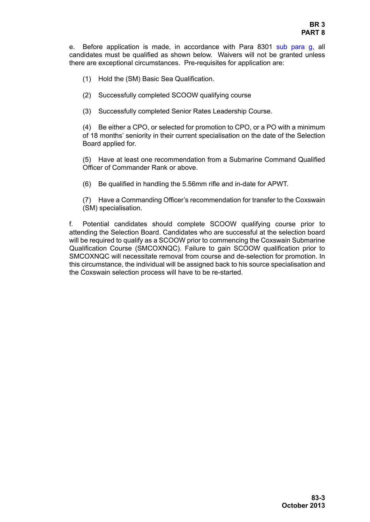e. Before application is made, in accordance with [Para 8301](#page-1-0) [sub para g,](#page-3-0) all candidates must be qualified as shown below. Waivers will not be granted unless there are exceptional circumstances. Pre-requisites for application are:

- (1) Hold the (SM) Basic Sea Qualification.
- (2) Successfully completed SCOOW qualifying course
- (3) Successfully completed Senior Rates Leadership Course.

(4) Be either a CPO, or selected for promotion to CPO, or a PO with a minimum of 18 months' seniority in their current specialisation on the date of the Selection Board applied for.

(5) Have at least one recommendation from a Submarine Command Qualified Officer of Commander Rank or above.

(6) Be qualified in handling the 5.56mm rifle and in-date for APWT.

(7) Have a Commanding Officer's recommendation for transfer to the Coxswain (SM) specialisation.

f. Potential candidates should complete SCOOW qualifying course prior to attending the Selection Board. Candidates who are successful at the selection board will be required to qualify as a SCOOW prior to commencing the Coxswain Submarine Qualification Course (SMCOXNQC). Failure to gain SCOOW qualification prior to SMCOXNQC will necessitate removal from course and de-selection for promotion. In this circumstance, the individual will be assigned back to his source specialisation and the Coxswain selection process will have to be re-started.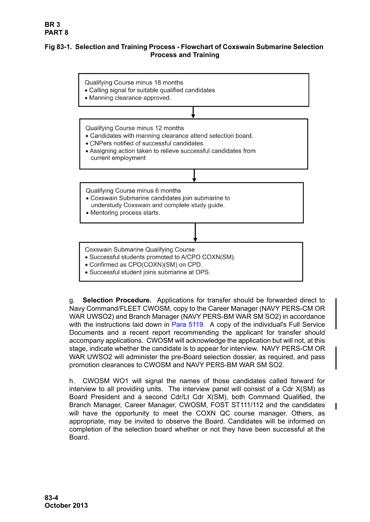# **Fig 83-1. Selection and Training Process - Flowchart of Coxswain Submarine Selection Process and Training**



• Successful student joins submarine at OPS.

<span id="page-3-0"></span>g. **Selection Procedure.** Applications for transfer should be forwarded direct to Navy Command/FLEET CWOSM, copy to the Career Manager (NAVY PERS-CM OR WAR UWSO2) and Branch Manager (NAVY PERS-BM WAR SM SO2) in accordance with the instructions laid down in Para 5119. A copy of the individual's Full Service Documents and a recent report recommending the applicant for transfer should accompany applications. CWOSM will acknowledge the application but will not, at this stage, indicate whether the candidate is to appear for interview. NAVY PERS-CM OR WAR UWSO2 will administer the pre-Board selection dossier, as required, and pass promotion clearances to CWOSM and NAVY PERS-BM WAR SM SO2.

h. CWOSM WO1 will signal the names of those candidates called forward for interview to all providing units. The interview panel will consist of a Cdr X(SM) as Board President and a second Cdr/Lt Cdr X(SM), both Command Qualified, the Branch Manager, Career Manager, CWOSM, FOST ST111/112 and the candidates will have the opportunity to meet the COXN QC course manager. Others, as appropriate, may be invited to observe the Board. Candidates will be informed on completion of the selection board whether or not they have been successful at the Board.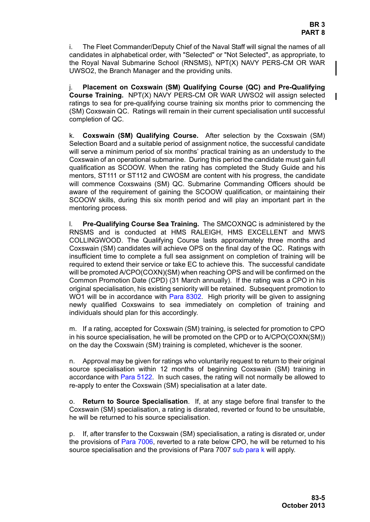i. The Fleet Commander/Deputy Chief of the Naval Staff will signal the names of all candidates in alphabetical order, with "Selected" or "Not Selected", as appropriate, to the Royal Naval Submarine School (RNSMS), NPT(X) NAVY PERS-CM OR WAR UWSO2, the Branch Manager and the providing units.

j. **Placement on Coxswain (SM) Qualifying Course (QC) and Pre-Qualifying Course Training.** NPT(X) NAVY PERS-CM OR WAR UWSO2 will assign selected ratings to sea for pre-qualifying course training six months prior to commencing the (SM) Coxswain QC. Ratings will remain in their current specialisation until successful completion of QC.

k. **Coxswain (SM) Qualifying Course.** After selection by the Coxswain (SM) Selection Board and a suitable period of assignment notice, the successful candidate will serve a minimum period of six months' practical training as an understudy to the Coxswain of an operational submarine. During this period the candidate must gain full qualification as SCOOW. When the rating has completed the Study Guide and his mentors, ST111 or ST112 and CWOSM are content with his progress, the candidate will commence Coxswains (SM) QC. Submarine Commanding Officers should be aware of the requirement of gaining the SCOOW qualification, or maintaining their SCOOW skills, during this six month period and will play an important part in the mentoring process.

l. **Pre-Qualifying Course Sea Training.** The SMCOXNQC is administered by the RNSMS and is conducted at HMS RALEIGH, HMS EXCELLENT and MWS COLLINGWOOD. The Qualifying Course lasts approximately three months and Coxswain (SM) candidates will achieve OPS on the final day of the QC. Ratings with insufficient time to complete a full sea assignment on completion of training will be required to extend their service or take EC to achieve this. The successful candidate will be promoted A/CPO(COXN)(SM) when reaching OPS and will be confirmed on the Common Promotion Date (CPD) (31 March annually). If the rating was a CPO in his original specialisation, his existing seniority will be retained. Subsequent promotion to WO1 will be in accordance with [Para 8302.](#page-5-0) High priority will be given to assigning newly qualified Coxswains to sea immediately on completion of training and individuals should plan for this accordingly.

m. If a rating, accepted for Coxswain (SM) training, is selected for promotion to CPO in his source specialisation, he will be promoted on the CPD or to A/CPO(COXN(SM)) on the day the Coxswain (SM) training is completed, whichever is the sooner.

n. Approval may be given for ratings who voluntarily request to return to their original source specialisation within 12 months of beginning Coxswain (SM) training in accordance with Para 5122. In such cases, the rating will not normally be allowed to re-apply to enter the Coxswain (SM) specialisation at a later date.

o. **Return to Source Specialisation**. If, at any stage before final transfer to the Coxswain (SM) specialisation, a rating is disrated, reverted or found to be unsuitable, he will be returned to his source specialisation.

p. If, after transfer to the Coxswain (SM) specialisation, a rating is disrated or, under the provisions of Para 7006, reverted to a rate below CPO, he will be returned to his source specialisation and the provisions of Para 7007 sub para k will apply.